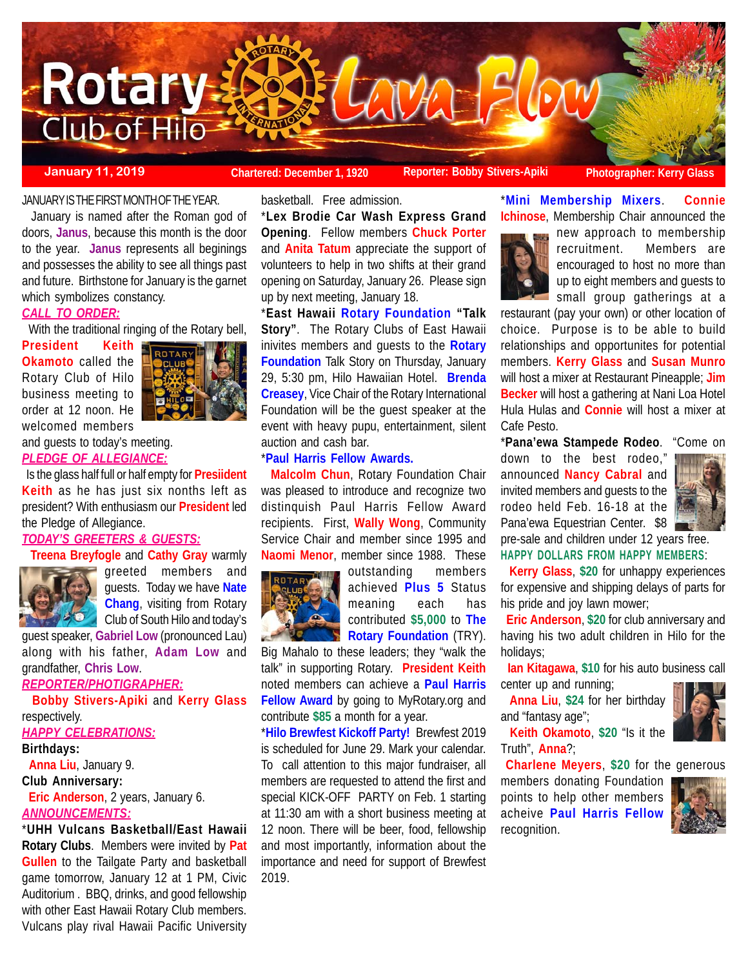

#### **January 11, 2019**

**Chartered: December 1, 1920 Reporter: Bobby Stivers-Apiki Photographer: Kerry Glass**

#### JANUARY IS THE FIRST MONTH OF THE YEAR.

 January is named after the Roman god of doors, **Janus**, because this month is the door to the year. **Janus** represents all beginings and possesses the ability to see all things past and future. Birthstone for January is the garnet which symbolizes constancy.

# *CALL TO ORDER:*

With the traditional ringing of the Rotary bell,

**President Keith Okamoto** called the Rotary Club of Hilo business meeting to order at 12 noon. He welcomed members



and guests to today's meeting. *PLEDGE OF ALLEGIANCE:*

 Is the glass half full or half empty for **Presiident Keith** as he has just six nonths left as president? With enthusiasm our **President** led the Pledge of Allegiance.

## *TODAY'S GREETERS & GUESTS:*

**Treena Breyfogle** and **Cathy Gray** warmly



greeted members and guests. Today we have **Nate Chang**, visiting from Rotary Club of South Hilo and today's

guest speaker, **Gabriel Low** (pronounced Lau) along with his father, **Adam Low** and grandfather, **Chris Low**.

*REPORTER/PHOTIGRAPHER:*

 **Bobby Stivers-Apiki** and **Kerry Glass** respectively.

# *HAPPY CELEBRATIONS:*

**Birthdays: Anna Liu**, January 9. **Club Anniversary: Eric Anderson**, 2 years, January 6. *ANNOUNCEMENTS:*

\***UHH Vulcans Basketball/East Hawaii Rotary Clubs**. Members were invited by **Pat Gullen** to the Tailgate Party and basketball game tomorrow, January 12 at 1 PM, Civic Auditorium . BBQ, drinks, and good fellowship with other East Hawaii Rotary Club members. Vulcans play rival Hawaii Pacific University

basketball. Free admission.

\***Lex Brodie Car Wash Express Grand Opening**. Fellow members **Chuck Porter** and **Anita Tatum** appreciate the support of volunteers to help in two shifts at their grand opening on Saturday, January 26. Please sign up by next meeting, January 18.

\***East Hawaii Rotary Foundation "Talk Story"**. The Rotary Clubs of East Hawaii inivites members and guests to the **Rotary Foundation** Talk Story on Thursday, January 29, 5:30 pm, Hilo Hawaiian Hotel. **Brenda Creasey**, Vice Chair of the Rotary International Foundation will be the guest speaker at the event with heavy pupu, entertainment, silent auction and cash bar.

# \***Paul Harris Fellow Awards.**

 **Malcolm Chun**, Rotary Foundation Chair was pleased to introduce and recognize two distinquish Paul Harris Fellow Award recipients. First, **Wally Wong**, Community Service Chair and member since 1995 and **Naomi Menor**, member since 1988. These



outstanding members achieved **Plus 5** Status meaning each has contributed **\$5,000** to **The Rotary Foundation** (TRY).

Big Mahalo to these leaders; they "walk the talk" in supporting Rotary. **President Keith** noted members can achieve a **Paul Harris Fellow Award** by going to MyRotary.org and contribute **\$85** a month for a year.

\***Hilo Brewfest Kickoff Party!** Brewfest 2019 is scheduled for June 29. Mark your calendar. To call attention to this major fundraiser, all members are requested to attend the first and special KICK-OFF PARTY on Feb. 1 starting at 11:30 am with a short business meeting at 12 noon. There will be beer, food, fellowship and most importantly, information about the importance and need for support of Brewfest 2019.

\***Mini Membership Mixers**. **Connie Ichinose**, Membership Chair announced the



new approach to membership recruitment. Members are encouraged to host no more than up to eight members and guests to small group gatherings at a

restaurant (pay your own) or other location of choice. Purpose is to be able to build relationships and opportunites for potential members. **Kerry Glass** and **Susan Munro** will host a mixer at Restaurant Pineapple; **Jim Becker** will host a gathering at Nani Loa Hotel Hula Hulas and **Connie** will host a mixer at Cafe Pesto.

\***Pana'ewa Stampede Rodeo**. "Come on

down to the best rodeo," announced **Nancy Cabral** and invited members and guests to the rodeo held Feb. 16-18 at the Pana'ewa Equestrian Center. \$8



pre-sale and children under 12 years free. **HAPPY DOLLARS FROM HAPPY MEMBERS**:

 **Kerry Glass**, **\$20** for unhappy experiences for expensive and shipping delays of parts for his pride and joy lawn mower;

 **Eric Anderson**, **\$20** for club anniversary and having his two adult children in Hilo for the holidays;

 **Ian Kitagawa**, **\$10** for his auto business call center up and running;

 **Anna Liu**, **\$24** for her birthday and "fantasy age";

 **Keith Okamoto**, **\$20** "Is it the Truth", **Anna**?;

**Charlene Meyers**, **\$20** for the generous

members donating Foundation points to help other members acheive **Paul Harris Fellow** recognition.